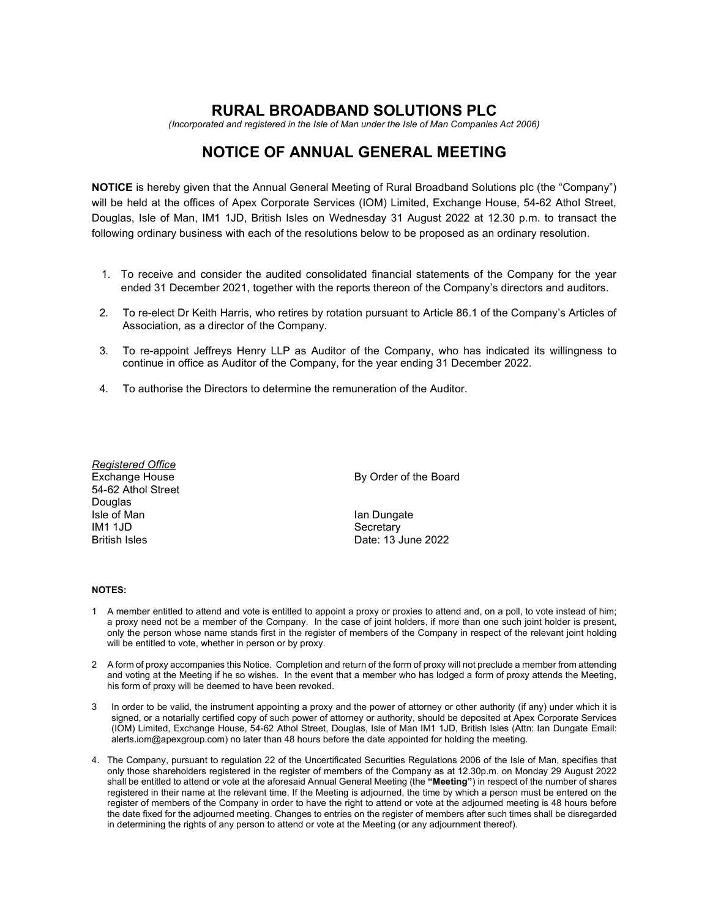## RURAL BROADBAND SOLUTIONS PLC

(Incorporated and registered in the Isle of Man under the Isle of Man Companies Act 2006)

# NOTICE OF ANNUAL GENERAL MEETING

NOTICE is hereby given that the Annual General Meeting of Rural Broadband Solutions plc (the "Company") will be held at the offices of Apex Corporate Services (IOM) Limited, Exchange House, 54-62 Athol Street, Douglas, Isle of Man, IM1 1JD, British Isles on Wednesday 31 August 2022 at 12.30 p.m. to transact the following ordinary business with each of the resolutions below to be proposed as an ordinary resolution.

- 1. To receive and consider the audited consolidated financial statements of the Company for the year ended 31 December 2021, together with the reports thereon of the Company's directors and auditors.
- 2. To re-elect Dr Keith Harris, who retires by rotation pursuant to Article 86.1 of the Company's Articles of Association, as a director of the Company.
- 3. To re-appoint Jeffreys Henry LLP as Auditor of the Company, who has indicated its willingness to continue in office as Auditor of the Company, for the year ending 31 December 2022.
- 4. To authorise the Directors to determine the remuneration of the Auditor.

| Registered Office  |                       |
|--------------------|-----------------------|
| Exchange House     | By Order of the Board |
| 54-62 Athol Street |                       |
| Douglas            |                       |
| Isle of Man        | lan Dungate           |
| IM1 1JD            | Secretary             |
| British Isles      | Date: 13 June 2022    |
|                    |                       |

#### NOTES:

- 1 A member entitled to attend and vote is entitled to appoint a proxy or proxies to attend and, on a poll, to vote instead of him; a proxy need not be a member of the Company. In the case of joint holders, if more than one such joint holder is present, only the person whose name stands first in the register of members of the Company in respect of the relevant joint holding will be entitled to vote, whether in person or by proxy.
- 2 A form of proxy accompanies this Notice. Completion and return of the form of proxy will not preclude a member from attending and voting at the Meeting if he so wishes. In the event that a member who has lodged a form of proxy attends the Meeting, his form of proxy will be deemed to have been revoked.
- 3 In order to be valid, the instrument appointing a proxy and the power of attorney or other authority (if any) under which it is signed, or a notarially certified copy of such power of attorney or authority, should be deposited at Apex Corporate Services (IOM) Limited, Exchange House, 54-62 Athol Street, Douglas, Isle of Man IM1 1JD, British Isles (Attn: Ian Dungate Email: alerts.iom@apexgroup.com) no later than 48 hours before the date appointed for holding the meeting.
- 4. The Company, pursuant to regulation 22 of the Uncertificated Securities Regulations 2006 of the Isle of Man, specifies that only those shareholders registered in the register of members of the Company as at 12.30p.m. on Monday 29 August 2022 shall be entitled to attend or vote at the aforesaid Annual General Meeting (the "Meeting") in respect of the number of shares registered in their name at the relevant time. If the Meeting is adjourned, the time by which a person must be entered on the register of members of the Company in order to have the right to attend or vote at the adjourned meeting is 48 hours before the date fixed for the adjourned meeting. Changes to entries on the register of members after such times shall be disregarded in determining the rights of any person to attend or vote at the Meeting (or any adjournment thereof).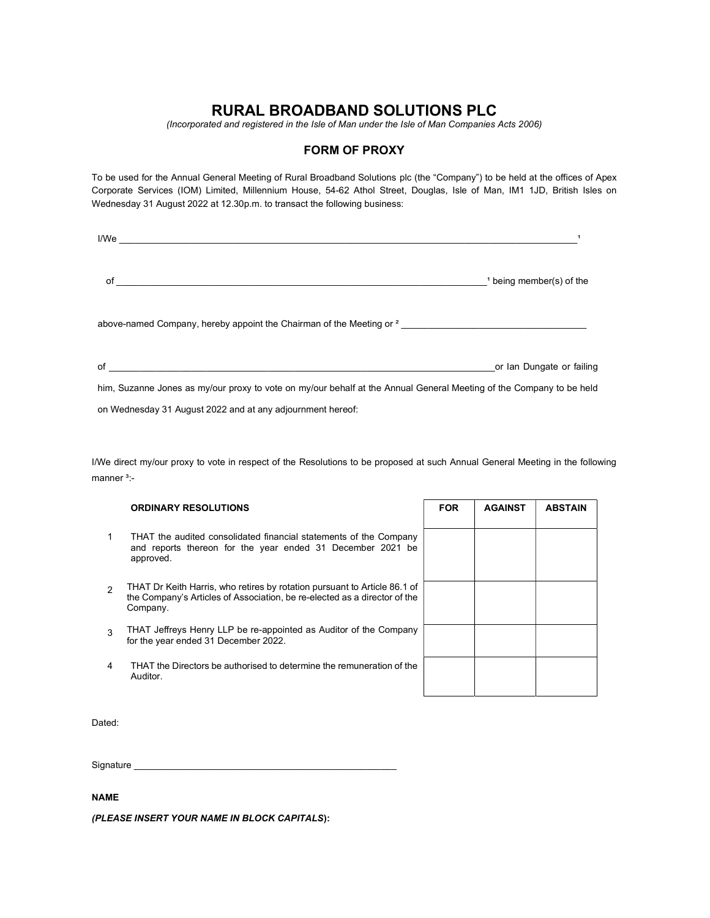## RURAL BROADBAND SOLUTIONS PLC

(Incorporated and registered in the Isle of Man under the Isle of Man Companies Acts 2006)

### FORM OF PROXY

To be used for the Annual General Meeting of Rural Broadband Solutions plc (the "Company") to be held at the offices of Apex Corporate Services (IOM) Limited, Millennium House, 54-62 Athol Street, Douglas, Isle of Man, IM1 1JD, British Isles on Wednesday 31 August 2022 at 12.30p.m. to transact the following business:

| I/We                                                                                                                |                                     |
|---------------------------------------------------------------------------------------------------------------------|-------------------------------------|
| of                                                                                                                  | <sup>1</sup> being member(s) of the |
| above-named Company, hereby appoint the Chairman of the Meeting or <sup>2</sup>                                     |                                     |
| of                                                                                                                  | or Ian Dungate or failing           |
| him, Suzanne Jones as my/our proxy to vote on my/our behalf at the Annual General Meeting of the Company to be held |                                     |
| on Wednesday 31 August 2022 and at any adjournment hereof:                                                          |                                     |

I/We direct my/our proxy to vote in respect of the Resolutions to be proposed at such Annual General Meeting in the following manner<sup>3</sup>:-

|                | <b>ORDINARY RESOLUTIONS</b>                                                                                                                                        | <b>FOR</b> | <b>AGAINST</b> | <b>ABSTAIN</b> |
|----------------|--------------------------------------------------------------------------------------------------------------------------------------------------------------------|------------|----------------|----------------|
|                | THAT the audited consolidated financial statements of the Company<br>and reports thereon for the year ended 31 December 2021 be<br>approved.                       |            |                |                |
| $\mathfrak{p}$ | THAT Dr Keith Harris, who retires by rotation pursuant to Article 86.1 of<br>the Company's Articles of Association, be re-elected as a director of the<br>Company. |            |                |                |
| 3              | THAT Jeffreys Henry LLP be re-appointed as Auditor of the Company<br>for the year ended 31 December 2022.                                                          |            |                |                |
| 4              | THAT the Directors be authorised to determine the remuneration of the<br>Auditor.                                                                                  |            |                |                |
|                |                                                                                                                                                                    |            |                |                |

Dated:

Signature

#### NAME

(PLEASE INSERT YOUR NAME IN BLOCK CAPITALS):